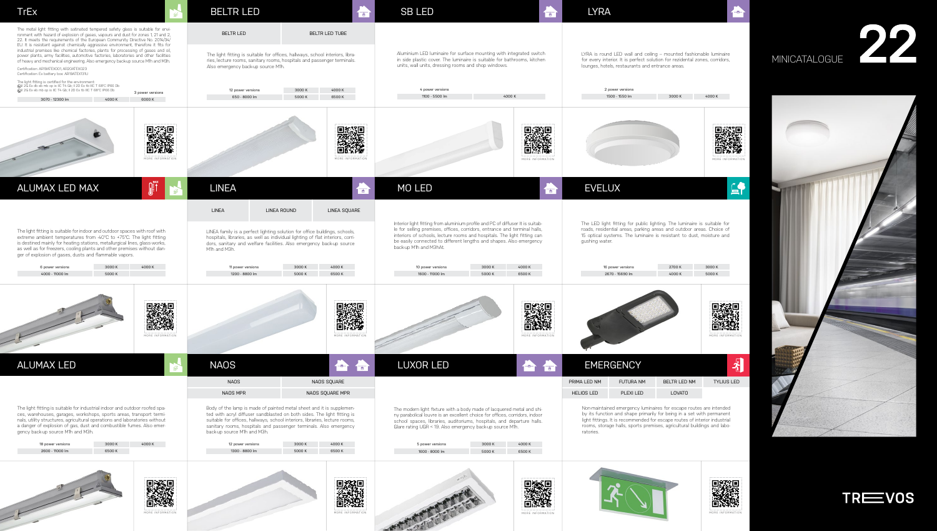Non-maintained emergency luminaires for escape routes are intended by its function and shape primarily for being in a set with permanent light fittings. It is recommended for escape routes of interior industrial rooms, storage halls, sports premises, agricultural buildings and laboratories.





MORE INFORMATION

|                   | 16 power versions | 2700 K              | 3000 K            |  |
|-------------------|-------------------|---------------------|-------------------|--|
|                   | 2670 - 15690 lm   | 4000 K              | 5000 K            |  |
|                   |                   |                     | MORE INFORMATION  |  |
|                   | <b>EMERGENCY</b>  |                     |                   |  |
| RIMA LED NM       | <b>FUTURA NM</b>  | <b>BELTR LED NM</b> | <b>TYLIUS LED</b> |  |
| <b>HELIOS LED</b> | PLEXI LED         | <b>LOVATO</b>       |                   |  |



The LED light fitting for public lighting. The luminaire is suitable for roads, residential areas, parking areas and outdoor areas. Choice of 15 optical systems. The luminaire is resistant to dust, moisture and gushing water.

LYRA is round LED wall and ceiling – mounted fashionable luminaire for every interior. It is perfect solution for rezidental zones, corridors, lounges, hotels, restaurants and entrance areas.

## MINICATALOGUE

22

![](_page_0_Picture_12.jpeg)

![](_page_0_Picture_13.jpeg)

|                                                                                                                                                                                                                                                                                                                                                                                                                                                                                                                                                                                                                                                                                                                   | <b>TrEx</b>                                                                                                                                                                                                                                                                                                                                                          | $\mathcal{B}$                                                                        | <b>BELTR LED</b>                                                                                                                                                                                                                                                                                                                   | 伝                                    | <b>SB LED</b>                                                                                                                                                                                                                                                                                                                            | <b>TET</b>                                      | <b>LYRA</b>                                                                    |
|-------------------------------------------------------------------------------------------------------------------------------------------------------------------------------------------------------------------------------------------------------------------------------------------------------------------------------------------------------------------------------------------------------------------------------------------------------------------------------------------------------------------------------------------------------------------------------------------------------------------------------------------------------------------------------------------------------------------|----------------------------------------------------------------------------------------------------------------------------------------------------------------------------------------------------------------------------------------------------------------------------------------------------------------------------------------------------------------------|--------------------------------------------------------------------------------------|------------------------------------------------------------------------------------------------------------------------------------------------------------------------------------------------------------------------------------------------------------------------------------------------------------------------------------|--------------------------------------|------------------------------------------------------------------------------------------------------------------------------------------------------------------------------------------------------------------------------------------------------------------------------------------------------------------------------------------|-------------------------------------------------|--------------------------------------------------------------------------------|
| The metal light fitting with satinated tempered safety glass is suitable for envi-<br>ronment with hazard of explosion of gases, vapours and dust for zones 1, 21 and 2,<br>22. It meets the requirements of the European Community Directive No. 2014/34/<br>EU. It is resistant against chemically aggressive environment, therefore it fits for<br>industrial premises like chemical factories, plants for processing of gases and oil,<br>power plants, army facilities, automotive factories, laboratories and other facilities<br>of heavy and mechanical engineering. Also emergency back-up source M1h and M3h.<br>Certification: AR19ATEX001, AR20ATEX023<br>Certification: Ex battery box: AR19ATEX131U |                                                                                                                                                                                                                                                                                                                                                                      |                                                                                      | <b>BELTR LED</b><br>The light fitting is suitable for offices, hallways, school interiors, libra-<br>ries, lecture rooms, sanitary rooms, hospitals and passenger terminals.<br>Also emergency back-up source M1h.                                                                                                                 | BELTR LED TUBE                       | Aluminium LED luminaire for surface mounting with integrated switch<br>in side plastic cover. The luminaire is suitable for bathrooms, kitchen<br>units, wall units, dressing rooms and shop windows.                                                                                                                                    | LYRA is roun<br>for every inte<br>lounges, hote |                                                                                |
|                                                                                                                                                                                                                                                                                                                                                                                                                                                                                                                                                                                                                                                                                                                   | The light fitting is certified for the environment:<br>ⓒII 2G Ex db eb mb op is IIC T4 Gb; II 2D Ex tb IIIC T 68℃ IP66 Db<br>WII 2G Ex eb mb op is IIC T4 Gb; II 2D Ex tb IIIC T 68°C IP66 Db<br>3070 - 12300 lm<br>4000 K                                                                                                                                           | 3 power versions<br>6000 K                                                           | 12 power versions<br>650 - 8000 lm                                                                                                                                                                                                                                                                                                 | 4000 K<br>3000 K<br>5000 K<br>6500K  | 4 power versions<br>1100 - 5500 lm                                                                                                                                                                                                                                                                                                       | 4000 K                                          |                                                                                |
|                                                                                                                                                                                                                                                                                                                                                                                                                                                                                                                                                                                                                                                                                                                   |                                                                                                                                                                                                                                                                                                                                                                      | 發恩<br>满<br>MORE INFORMATION                                                          |                                                                                                                                                                                                                                                                                                                                    | MORE INFORMATION                     |                                                                                                                                                                                                                                                                                                                                          | 回激回<br>MORE INFORMATION                         |                                                                                |
|                                                                                                                                                                                                                                                                                                                                                                                                                                                                                                                                                                                                                                                                                                                   | ALUMAX LED MAX                                                                                                                                                                                                                                                                                                                                                       | $\left[\begin{matrix} \frac{1}{2} \\ \frac{1}{2} \\ \frac{1}{2} \end{matrix}\right]$ | <b>LINEA</b>                                                                                                                                                                                                                                                                                                                       | 伝                                    | <b>MO LED</b>                                                                                                                                                                                                                                                                                                                            | 高                                               | <b>EVELI</b>                                                                   |
|                                                                                                                                                                                                                                                                                                                                                                                                                                                                                                                                                                                                                                                                                                                   |                                                                                                                                                                                                                                                                                                                                                                      |                                                                                      | <b>LINEA</b><br>LINEA ROUND                                                                                                                                                                                                                                                                                                        | LINEA SQUARE                         |                                                                                                                                                                                                                                                                                                                                          |                                                 |                                                                                |
|                                                                                                                                                                                                                                                                                                                                                                                                                                                                                                                                                                                                                                                                                                                   | The light fitting is suitable for indoor and outdoor spaces with roof with<br>extreme ambient temperatures from -40°C to +75°C. The light fitting<br>is destined mainly for heating stations, metallurgical lines, glass-works,<br>as well as for freezers, cooling plants and other premises without dan-<br>ger of explosion of gases, dusts and flammable vapors. |                                                                                      | LINEA family is a perfect lighting solution for office buildings, schools,<br>hospitals, libraries, as well as individual lighting of flat interiors, corri-<br>dors, sanitary and welfare facilities. Also emergency back-up source<br>M1h and M3h.                                                                               |                                      | Interior light fitting from aluminium profile and PC of diffuser It is suitab-<br>le for selling premises, offices, corridors, entrance and terminal halls,<br>interiors of schools, lecture rooms and hospitals. The light fitting can<br>be easily connected to different lengths and shapes. Also emergency<br>back-up M1h and M3hAt. |                                                 | The LED light<br>roads, resider<br>15 optical sys<br>gushing wate              |
|                                                                                                                                                                                                                                                                                                                                                                                                                                                                                                                                                                                                                                                                                                                   | 6 power versions<br>3000 K<br>4000 - 11000 lm<br>5000 K                                                                                                                                                                                                                                                                                                              | 4000 K                                                                               | 11 power versions<br>1200 - 8800 lm                                                                                                                                                                                                                                                                                                | 4000 K<br>3000 K<br>6500 K<br>5000 K | 10 power versions<br>1600 - 11000 lm                                                                                                                                                                                                                                                                                                     | 4000 K<br>3000 K<br>5000 K<br>6500K             | 16r<br>26                                                                      |
|                                                                                                                                                                                                                                                                                                                                                                                                                                                                                                                                                                                                                                                                                                                   |                                                                                                                                                                                                                                                                                                                                                                      | MORE INFORMATION                                                                     |                                                                                                                                                                                                                                                                                                                                    | MORE INFORMATION                     |                                                                                                                                                                                                                                                                                                                                          | MORE INFORMATION                                |                                                                                |
|                                                                                                                                                                                                                                                                                                                                                                                                                                                                                                                                                                                                                                                                                                                   | <b>ALUMAX LED</b>                                                                                                                                                                                                                                                                                                                                                    |                                                                                      | <b>NAOS</b>                                                                                                                                                                                                                                                                                                                        | क                                    | LUXOR LED                                                                                                                                                                                                                                                                                                                                |                                                 | <b>EMER</b>                                                                    |
|                                                                                                                                                                                                                                                                                                                                                                                                                                                                                                                                                                                                                                                                                                                   |                                                                                                                                                                                                                                                                                                                                                                      |                                                                                      | <b>NAOS</b>                                                                                                                                                                                                                                                                                                                        | NAOS SQUARE                          |                                                                                                                                                                                                                                                                                                                                          |                                                 | PRIMA LED NM                                                                   |
|                                                                                                                                                                                                                                                                                                                                                                                                                                                                                                                                                                                                                                                                                                                   |                                                                                                                                                                                                                                                                                                                                                                      |                                                                                      | NAOS MPR                                                                                                                                                                                                                                                                                                                           | NAOS SQUARE MPR                      |                                                                                                                                                                                                                                                                                                                                          |                                                 | <b>HELIOS LED</b>                                                              |
|                                                                                                                                                                                                                                                                                                                                                                                                                                                                                                                                                                                                                                                                                                                   | The light fitting is suitable for industrial indoor and outdoor roofed spa-<br>ces, warehouses, garages, workshops, sports areas, transport termi-<br>nals, utility structures, agricultural operations and laboratories without<br>a danger of explosion of gas, dust and combustible fumes. Also emer-<br>gency back-up source M1h and M3h.                        |                                                                                      | Body of the lamp is made of painted metal sheet and it is supplemen-<br>ted with acryl diffuser sandblasted on both sides. The light fitting is<br>suitable for offices, hallways, school interiors, libraries, lecture rooms,<br>sanitary rooms, hospitals and passenger terminals. Also emergency<br>back-up source M1h and M3h. |                                      | The modern light fixture with a body made of lacquered metal and shi-<br>ny parabolical louvre is an excellent choice for offices, corridors, indoor<br>school spaces, libraries, auditoriums, hospitals, and departure halls.<br>Glare rating UGR < 19. Also emergency back-up source M1h.                                              |                                                 | Non-maintain<br>by its functic<br>light fittings.<br>rooms, stora<br>ratories. |
|                                                                                                                                                                                                                                                                                                                                                                                                                                                                                                                                                                                                                                                                                                                   | 3000 K<br>18 power versions<br>2600 - 11000 lm<br>6500 K                                                                                                                                                                                                                                                                                                             | 4000 K                                                                               | 12 power versions<br>1300 - 8800 lm                                                                                                                                                                                                                                                                                                | 4000 K<br>3000 K<br>6500 K<br>5000 K | 5 power versions<br>1600 - 8000 lm                                                                                                                                                                                                                                                                                                       | 4000K<br>3000 K<br>6500 K<br>5000 K             |                                                                                |
|                                                                                                                                                                                                                                                                                                                                                                                                                                                                                                                                                                                                                                                                                                                   |                                                                                                                                                                                                                                                                                                                                                                      | MORE INFORMATION                                                                     |                                                                                                                                                                                                                                                                                                                                    | MORE INFORMATION                     |                                                                                                                                                                                                                                                                                                                                          | MORE INFORMATION                                |                                                                                |

![](_page_0_Picture_2.jpeg)